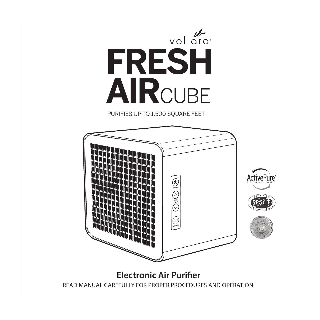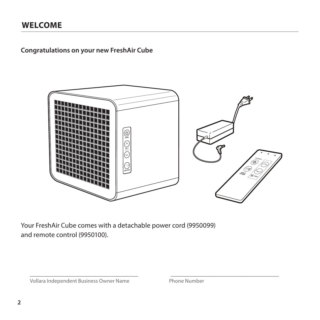## **WELCOME**

**Congratulations on your new FreshAir Cube**



Your FreshAir Cube comes with a detachable power cord (9950099) and remote control (9950100).

Vollara Independent Business Owner Name Phone Number

\_\_\_\_\_\_\_\_\_\_\_\_\_\_\_\_\_\_\_\_\_\_\_\_\_\_\_\_\_\_\_\_\_\_\_\_\_\_\_\_ \_\_\_\_\_\_\_\_\_\_\_\_\_\_\_\_\_\_\_\_\_\_\_\_\_\_\_\_\_\_\_\_\_\_\_\_\_\_\_\_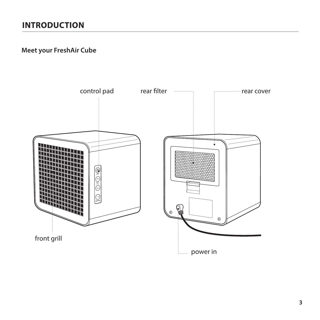# **INTRODUCTION**

## **Meet your FreshAir Cube**

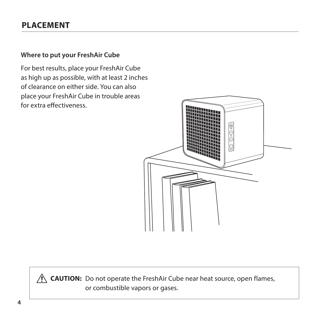## **PLACEMENT**

### **Where to put your FreshAir Cube**

For best results, place your FreshAir Cube as high up as possible, with at least 2 inches of clearance on either side. You can also place your FreshAir Cube in trouble areas for extra effectiveness.



**CAUTION:** Do not operate the FreshAir Cube near heat source, open flames, or combustible vapors or gases.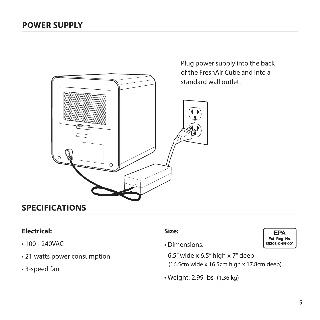

Plug power supply into the back of the FreshAir Cube and into a standard wall outlet.

## **SPECIFICATIONS**

## **Electrical:**

- 100 240VAC
- 21 watts power consumption
- 3-speed fan

### **Size:**

• Dimensions:

6.5" wide x 6.5" high x 7" deep (16.5cm wide x 16.5cm high x 17.8cm deep)

• Weight: 2.99 lbs (1.36 kg)

**EPA** Est. Rea. No. **85203-CHN-001**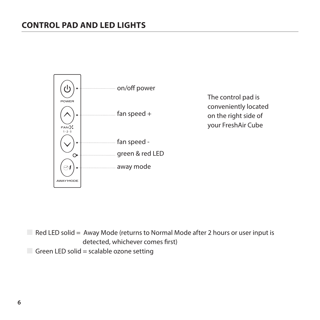## **CONTROL PAD AND LED LIGHTS**



The control pad is conveniently located on the right side of your FreshAir Cube

 $\Box$  Red LED solid = Away Mode (returns to Normal Mode after 2 hours or user input is detected, whichever comes first) Green LED solid = scalable ozone setting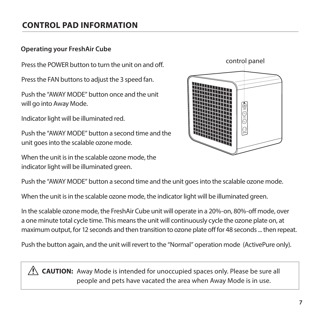# **CONTROL PAD INFORMATION**

### **Operating your FreshAir Cube**

Press the POWER button to turn the unit on and off.

Press the FAN buttons to adjust the 3 speed fan.

Push the "AWAY MODE" button once and the unit will go into Away Mode.

Indicator light will be illuminated red.

Push the "AWAY MODE" button a second time and the unit goes into the scalable ozone mode.

When the unit is in the scalable ozone mode, the indicator light will be illuminated green.



Push the "AWAY MODE" button a second time and the unit goes into the scalable ozone mode.

When the unit is in the scalable ozone mode, the indicator light will be illuminated green.

In the scalable ozone mode, the FreshAir Cube unit will operate in a 20%-on, 80%-off mode, over a one minute total cycle time. This means the unit will continuously cycle the ozone plate on, at maximum output, for 12 seconds and then transition to ozone plate off for 48 seconds ... then repeat.

Push the button again, and the unit will revert to the "Normal" operation mode (ActivePure only).

**CAUTION:** Away Mode is intended for unoccupied spaces only. Please be sure all people and pets have vacated the area when Away Mode is in use.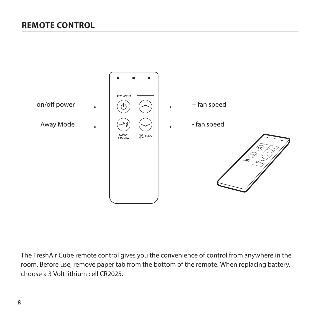

The FreshAir Cube remote control gives you the convenience of control from anywhere in the room. Before use, remove paper tab from the bottom of the remote. When replacing battery, choose a 3 Volt lithium cell CR2025.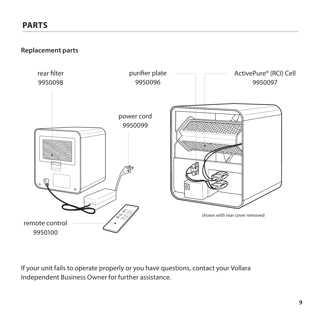**Replacement parts**



If your unit fails to operate properly or you have questions, contact your Vollara Independent Business Owner for further assistance.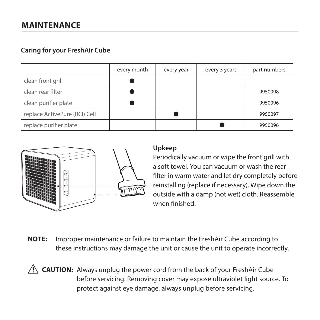### **Caring for your FreshAir Cube**

|                               | every month | every year | every 3 years | part numbers |
|-------------------------------|-------------|------------|---------------|--------------|
| clean front grill             |             |            |               |              |
| clean rear filter             |             |            |               | 9950098      |
| clean purifier plate          |             |            |               | 9950096      |
| replace ActivePure (RCI) Cell |             |            |               | 9950097      |
| replace purifier plate        |             |            |               | 9950096      |



## **Upkeep**

Periodically vacuum or wipe the front grill with a soft towel. You can vacuum or wash the rear filter in warm water and let dry completely before reinstalling (replace if necessary). Wipe down the outside with a damp (not wet) cloth. Reassemble when finished.

**NOTE:** Improper maintenance or failure to maintain the FreshAir Cube according to these instructions may damage the unit or cause the unit to operate incorrectly.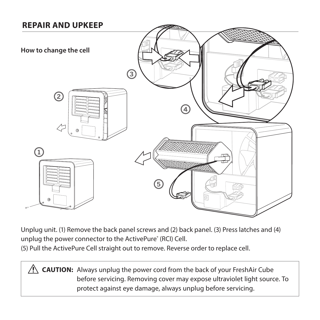

Unplug unit. (1) Remove the back panel screws and (2) back panel. (3) Press latches and (4) unplug the power connector to the ActivePure® (RCI) Cell.

(5) Pull the ActivePure Cell straight out to remove. Reverse order to replace cell.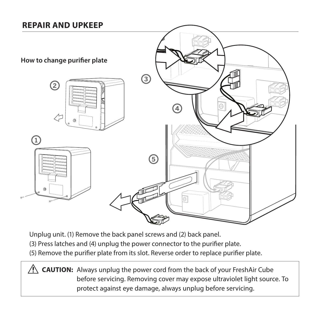## **REPAIR AND UPKEEP**



Unplug unit. (1) Remove the back panel screws and (2) back panel.

- (3) Press latches and (4) unplug the power connector to the purifier plate.
- (5) Remove the purifier plate from its slot. Reverse order to replace purifier plate.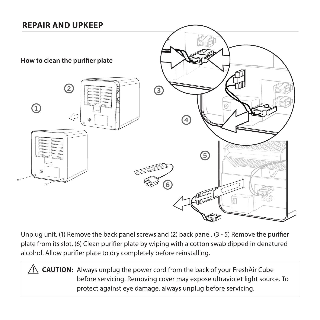## **REPAIR AND UPKEEP**



Unplug unit. (1) Remove the back panel screws and (2) back panel. (3 - 5) Remove the purifier plate from its slot. (6) Clean purifier plate by wiping with a cotton swab dipped in denatured alcohol. Allow purifier plate to dry completely before reinstalling.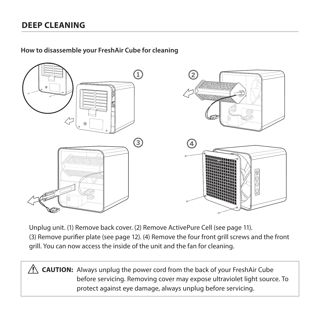**How to disassemble your FreshAir Cube for cleaning**



Unplug unit. (1) Remove back cover. (2) Remove ActivePure Cell (see page 11). (3) Remove purifier plate (see page 12). (4) Remove the four front grill screws and the front grill. You can now access the inside of the unit and the fan for cleaning.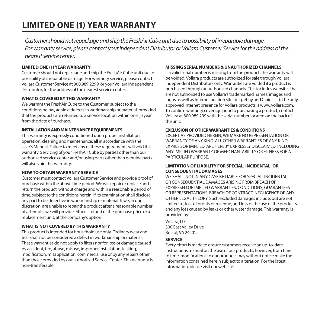Customer should not repackage and ship the FreshAir Cube unit due to possibility of irreparable damage. For warranty service, please contact your Independent Distributor or Vollara Customer Service for the address of the nearest service center.

#### **LIMITED ONE (1) YEAR WARRANTY**

Customer should not repackage and ship the FreshAir Cube unit due to possibility of irreparable damage. For warranty service, please contact Vollara Customer Service at 800.989.2299, or your Vollara Independent Distributor, for the address of the nearest service center.

#### **WHAT IS COVERED BY THIS WARRANTY**

We warrant the FreshAir Cube to the Customer, subject to the conditions below, against defects in workmanship or material, provided that the products are returned to a service location within one (1) year from the date of purchase.

#### **INSTALLATION AND MAINTENANCE REQUIREMENTS**

This warranty is expressly conditioned upon proper installation, operation, cleaning and maintenance, all in accordance with the User's Manual. Failure to meet any of these requirements will void this warranty. Servicing of your FreshAir Cube by parties other than our authorized service center and/or using parts other than genuine parts will also void this warranty.

#### **HOW TO OBTAIN WARRANTY SERVICE**

Customer must contact Vollara Customer Service and provide proof of purchase within the above time period. We will repair or replace and return the product, without charge and within a reasonable period of time, subject to the conditions herein, if its examination shall disclose any part to be defective in workmanship or material. If we, in our discretion, are unable to repair the product after a reasonable number of attempts, we will provide either a refund of the purchase price or a replacement unit, at the company's option.

#### **WHAT IS NOT COVERED BY THIS WARRANTY**

This product is intended for household use only. Ordinary wear and tear shall not be considered a defect in workmanship or material. These warranties do not apply to filters nor for loss or damage caused by accident, fire, abuse, misuse, improper installation, leaking, modification, misapplication, commercial use or by any repairs other than those provided by our authorized Service Center. This warranty is non-transferable.

#### **MISSING SERIAL NUMBERS & UNAUTHORIZED CHANNELS**

If a valid serial number is missing from the product, the warranty will be voided. Vollara products are authorized for sale through Vollara Independent Distributors only. Warranties are voided if a product is purchased through unauthorized channels. This includes websites that are not authorized to use Vollara's trademarked names, images and logos as well as Internet auction sites (e.g. ebay and Craigslist). The only approved Internet presence for Vollara products is www.vollara.com. To confirm warranty coverage prior to purchasing a product, contact Vollara at 800.989.299 with the serial number located on the back of the unit.

#### **EXCLUSION OF OTHER WARRANTIES & CONDITIONS**

EXCEPT AS PROVIDED HEREIN, WE MAKE NO REPRESENTATION OR WARRANTY OF ANY KIND. ALL OTHER WARRANTIES OF ANY KIND, EXPRESS OR IMPLIED, ARE HEREBY EXPRESSLY DISCLAIMED, INCLUDING ANY IMPLIED WARRANTY OF MERCHANTABILITY OR FITNESS FOR A PARTICULAR PURPOSE

#### **LIMITATION OF LIABILITY FOR SPECIAL, INCIDENTAL, OR CONSEQUENTIAL DAMAGES**

WE SHALL NOT IN ANY CASE BE LIABLE FOR SPECIAL, INCIDENTAL OR CONSEQUENTIAL DAMAGES ARISING FROM BREACH OF EXPRESSED OR IMPLIED WARRANTIES, CONDITIONS, GUARANTEES OR REPRESENTATIONS, BREACH OF CONTRACT, NEGLIGENCE OR ANY OTHER LEGAL THEORY. Such excluded damages include, but are not limited to, loss of profits or revenue, and loss of the use of the products, and any loss caused by leaks or other water damage. This warranty is provided by:

Vollara, LLC 300 East Valley Drive Bristol, VA 24201.

#### **SERVICE**

Every effort is made to ensure customers receive an up-to-date instructions manual on the use of our products; however, from time to time, modifications to our products may without notice make the information contained herein subject to alteration. For the latest information, please visit our website.